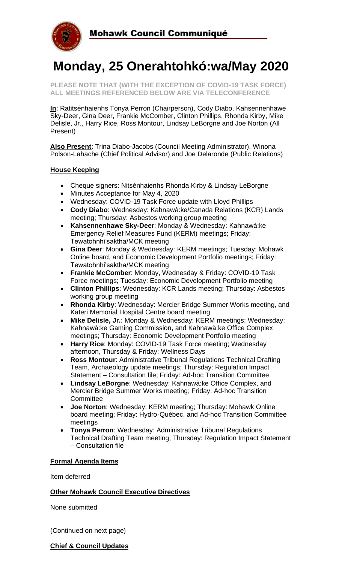

# **Monday, 25 Onerahtohkó:wa/May 2020**

**PLEASE NOTE THAT (WITH THE EXCEPTION OF COVID-19 TASK FORCE) ALL MEETINGS REFERENCED BELOW ARE VIA TELECONFERENCE**

**In**: Ratitsénhaienhs Tonya Perron (Chairperson), Cody Diabo, Kahsennenhawe Sky-Deer, Gina Deer, Frankie McComber, Clinton Phillips, Rhonda Kirby, Mike Delisle, Jr., Harry Rice, Ross Montour, Lindsay LeBorgne and Joe Norton (All Present)

**Also Present**: Trina Diabo-Jacobs (Council Meeting Administrator), Winona Polson-Lahache (Chief Political Advisor) and Joe Delaronde (Public Relations)

#### **House Keeping**

- Cheque signers: Nitsénhaienhs Rhonda Kirby & Lindsay LeBorgne
- Minutes Acceptance for May 4, 2020
- Wednesday: COVID-19 Task Force update with Lloyd Phillips
- **Cody Diabo**: Wednesday: Kahnawà:ke/Canada Relations (KCR) Lands meeting; Thursday: Asbestos working group meeting
- **Kahsennenhawe Sky-Deer**: Monday & Wednesday: Kahnawà:ke Emergency Relief Measures Fund (KERM) meetings; Friday: Tewatohnhi'saktha/MCK meeting
- **Gina Deer**: Monday & Wednesday: KERM meetings; Tuesday: Mohawk Online board, and Economic Development Portfolio meetings; Friday: Tewatohnhi'saktha/MCK meeting
- **Frankie McComber**: Monday, Wednesday & Friday: COVID-19 Task Force meetings; Tuesday: Economic Development Portfolio meeting
- **Clinton Phillips**: Wednesday: KCR Lands meeting; Thursday: Asbestos working group meeting
- **Rhonda Kirby**: Wednesday: Mercier Bridge Summer Works meeting, and Kateri Memorial Hospital Centre board meeting
- **Mike Delisle, Jr.**: Monday & Wednesday: KERM meetings; Wednesday: Kahnawà:ke Gaming Commission, and Kahnawà:ke Office Complex meetings; Thursday: Economic Development Portfolio meeting
- **Harry Rice**: Monday: COVID-19 Task Force meeting; Wednesday afternoon, Thursday & Friday: Wellness Days
- **Ross Montour**: Administrative Tribunal Regulations Technical Drafting Team, Archaeology update meetings; Thursday: Regulation Impact Statement – Consultation file; Friday: Ad-hoc Transition Committee
- **Lindsay LeBorgne**: Wednesday: Kahnawà:ke Office Complex, and Mercier Bridge Summer Works meeting; Friday: Ad-hoc Transition **Committee**
- **Joe Norton**: Wednesday: KERM meeting; Thursday: Mohawk Online board meeting; Friday: Hydro-Québec, and Ad-hoc Transition Committee meetings
- **Tonya Perron**: Wednesday: Administrative Tribunal Regulations Technical Drafting Team meeting; Thursday: Regulation Impact Statement – Consultation file

### **Formal Agenda Items**

Item deferred

#### **Other Mohawk Council Executive Directives**

None submitted

(Continued on next page)

#### **Chief & Council Updates**